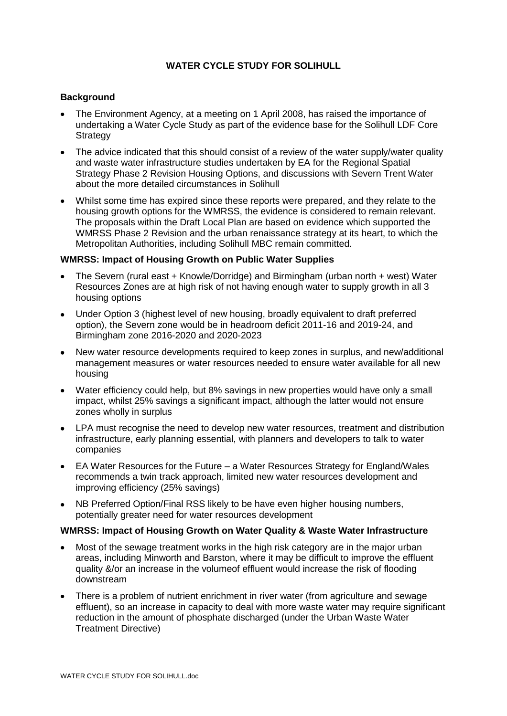# **WATER CYCLE STUDY FOR SOLIHULL**

# **Background**

- The Environment Agency, at a meeting on 1 April 2008, has raised the importance of undertaking a Water Cycle Study as part of the evidence base for the Solihull LDF Core **Strategy**
- The advice indicated that this should consist of a review of the water supply/water quality and waste water infrastructure studies undertaken by EA for the Regional Spatial Strategy Phase 2 Revision Housing Options, and discussions with Severn Trent Water about the more detailed circumstances in Solihull
- Whilst some time has expired since these reports were prepared, and they relate to the housing growth options for the WMRSS, the evidence is considered to remain relevant. The proposals within the Draft Local Plan are based on evidence which supported the WMRSS Phase 2 Revision and the urban renaissance strategy at its heart, to which the Metropolitan Authorities, including Solihull MBC remain committed.

# **WMRSS: Impact of Housing Growth on Public Water Supplies**

- The Severn (rural east + Knowle/Dorridge) and Birmingham (urban north + west) Water Resources Zones are at high risk of not having enough water to supply growth in all 3 housing options
- Under Option 3 (highest level of new housing, broadly equivalent to draft preferred option), the Severn zone would be in headroom deficit 2011-16 and 2019-24, and Birmingham zone 2016-2020 and 2020-2023
- New water resource developments required to keep zones in surplus, and new/additional management measures or water resources needed to ensure water available for all new housing
- Water efficiency could help, but 8% savings in new properties would have only a small impact, whilst 25% savings a significant impact, although the latter would not ensure zones wholly in surplus
- LPA must recognise the need to develop new water resources, treatment and distribution infrastructure, early planning essential, with planners and developers to talk to water companies
- EA Water Resources for the Future a Water Resources Strategy for England/Wales recommends a twin track approach, limited new water resources development and improving efficiency (25% savings)
- NB Preferred Option/Final RSS likely to be have even higher housing numbers, potentially greater need for water resources development

#### **WMRSS: Impact of Housing Growth on Water Quality & Waste Water Infrastructure**

- Most of the sewage treatment works in the high risk category are in the major urban areas, including Minworth and Barston, where it may be difficult to improve the effluent quality &/or an increase in the volumeof effluent would increase the risk of flooding downstream
- There is a problem of nutrient enrichment in river water (from agriculture and sewage effluent), so an increase in capacity to deal with more waste water may require significant reduction in the amount of phosphate discharged (under the Urban Waste Water Treatment Directive)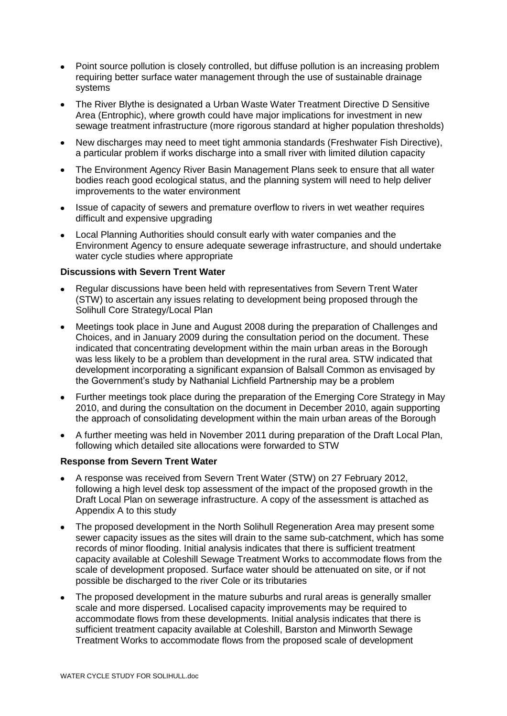- Point source pollution is closely controlled, but diffuse pollution is an increasing problem requiring better surface water management through the use of sustainable drainage systems
- The River Blythe is designated a Urban Waste Water Treatment Directive D Sensitive Area (Entrophic), where growth could have major implications for investment in new sewage treatment infrastructure (more rigorous standard at higher population thresholds)
- New discharges may need to meet tight ammonia standards (Freshwater Fish Directive), a particular problem if works discharge into a small river with limited dilution capacity
- The Environment Agency River Basin Management Plans seek to ensure that all water bodies reach good ecological status, and the planning system will need to help deliver improvements to the water environment
- Issue of capacity of sewers and premature overflow to rivers in wet weather requires difficult and expensive upgrading
- Local Planning Authorities should consult early with water companies and the Environment Agency to ensure adequate sewerage infrastructure, and should undertake water cycle studies where appropriate

# **Discussions with Severn Trent Water**

- Regular discussions have been held with representatives from Severn Trent Water (STW) to ascertain any issues relating to development being proposed through the Solihull Core Strategy/Local Plan
- Meetings took place in June and August 2008 during the preparation of Challenges and Choices, and in January 2009 during the consultation period on the document. These indicated that concentrating development within the main urban areas in the Borough was less likely to be a problem than development in the rural area. STW indicated that development incorporating a significant expansion of Balsall Common as envisaged by the Government's study by Nathanial Lichfield Partnership may be a problem
- Further meetings took place during the preparation of the Emerging Core Strategy in May 2010, and during the consultation on the document in December 2010, again supporting the approach of consolidating development within the main urban areas of the Borough
- A further meeting was held in November 2011 during preparation of the Draft Local Plan, following which detailed site allocations were forwarded to STW

#### **Response from Severn Trent Water**

- A response was received from Severn Trent Water (STW) on 27 February 2012, following a high level desk top assessment of the impact of the proposed growth in the Draft Local Plan on sewerage infrastructure. A copy of the assessment is attached as Appendix A to this study
- The proposed development in the North Solihull Regeneration Area may present some sewer capacity issues as the sites will drain to the same sub-catchment, which has some records of minor flooding. Initial analysis indicates that there is sufficient treatment capacity available at Coleshill Sewage Treatment Works to accommodate flows from the scale of development proposed. Surface water should be attenuated on site, or if not possible be discharged to the river Cole or its tributaries
- The proposed development in the mature suburbs and rural areas is generally smaller scale and more dispersed. Localised capacity improvements may be required to accommodate flows from these developments. Initial analysis indicates that there is sufficient treatment capacity available at Coleshill, Barston and Minworth Sewage Treatment Works to accommodate flows from the proposed scale of development